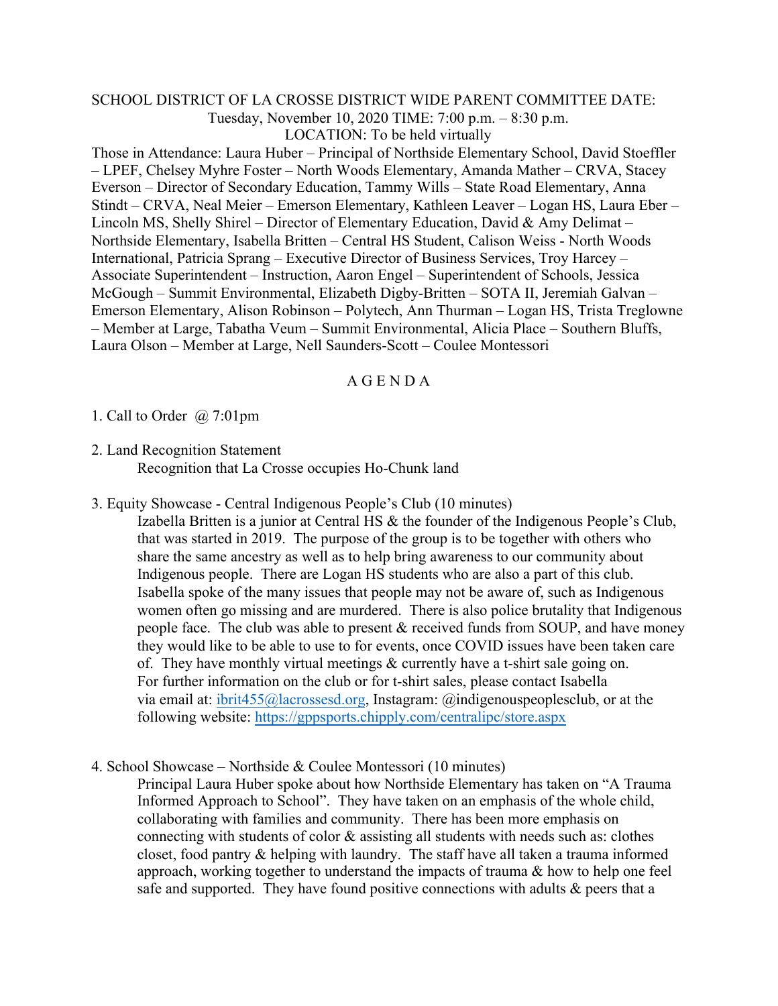## SCHOOL DISTRICT OF LA CROSSE DISTRICT WIDE PARENT COMMITTEE DATE: Tuesday, November 10, 2020 TIME: 7:00 p.m. – 8:30 p.m. LOCATION: To be held virtually

Those in Attendance: Laura Huber – Principal of Northside Elementary School, David Stoeffler – LPEF, Chelsey Myhre Foster – North Woods Elementary, Amanda Mather – CRVA, Stacey Everson – Director of Secondary Education, Tammy Wills – State Road Elementary, Anna Stindt – CRVA, Neal Meier – Emerson Elementary, Kathleen Leaver – Logan HS, Laura Eber – Lincoln MS, Shelly Shirel – Director of Elementary Education, David & Amy Delimat – Northside Elementary, Isabella Britten – Central HS Student, Calison Weiss - North Woods International, Patricia Sprang – Executive Director of Business Services, Troy Harcey – Associate Superintendent – Instruction, Aaron Engel – Superintendent of Schools, Jessica McGough – Summit Environmental, Elizabeth Digby-Britten – SOTA II, Jeremiah Galvan – Emerson Elementary, Alison Robinson – Polytech, Ann Thurman – Logan HS, Trista Treglowne – Member at Large, Tabatha Veum – Summit Environmental, Alicia Place – Southern Bluffs, Laura Olson – Member at Large, Nell Saunders-Scott – Coulee Montessori

## A G E N D A

1. Call to Order @ 7:01pm

- 2. Land Recognition Statement Recognition that La Crosse occupies Ho-Chunk land
- 3. Equity Showcase Central Indigenous People's Club (10 minutes)

Izabella Britten is a junior at Central HS & the founder of the Indigenous People's Club, that was started in 2019. The purpose of the group is to be together with others who share the same ancestry as well as to help bring awareness to our community about Indigenous people. There are Logan HS students who are also a part of this club. Isabella spoke of the many issues that people may not be aware of, such as Indigenous women often go missing and are murdered. There is also police brutality that Indigenous people face. The club was able to present  $\&$  received funds from SOUP, and have money they would like to be able to use to for events, once COVID issues have been taken care of. They have monthly virtual meetings & currently have a t-shirt sale going on. For further information on the club or for t-shirt sales, please contact Isabella via email at: [ibrit455@lacrossesd.org,](mailto:ibrit455@lacrossesd.org) Instagram: @indigenouspeoplesclub, or at the following website: <https://gppsports.chipply.com/centralipc/store.aspx>

4. School Showcase – Northside & Coulee Montessori (10 minutes)

Principal Laura Huber spoke about how Northside Elementary has taken on "A Trauma Informed Approach to School". They have taken on an emphasis of the whole child, collaborating with families and community. There has been more emphasis on connecting with students of color  $\&$  assisting all students with needs such as: clothes closet, food pantry & helping with laundry. The staff have all taken a trauma informed approach, working together to understand the impacts of trauma & how to help one feel safe and supported. They have found positive connections with adults & peers that a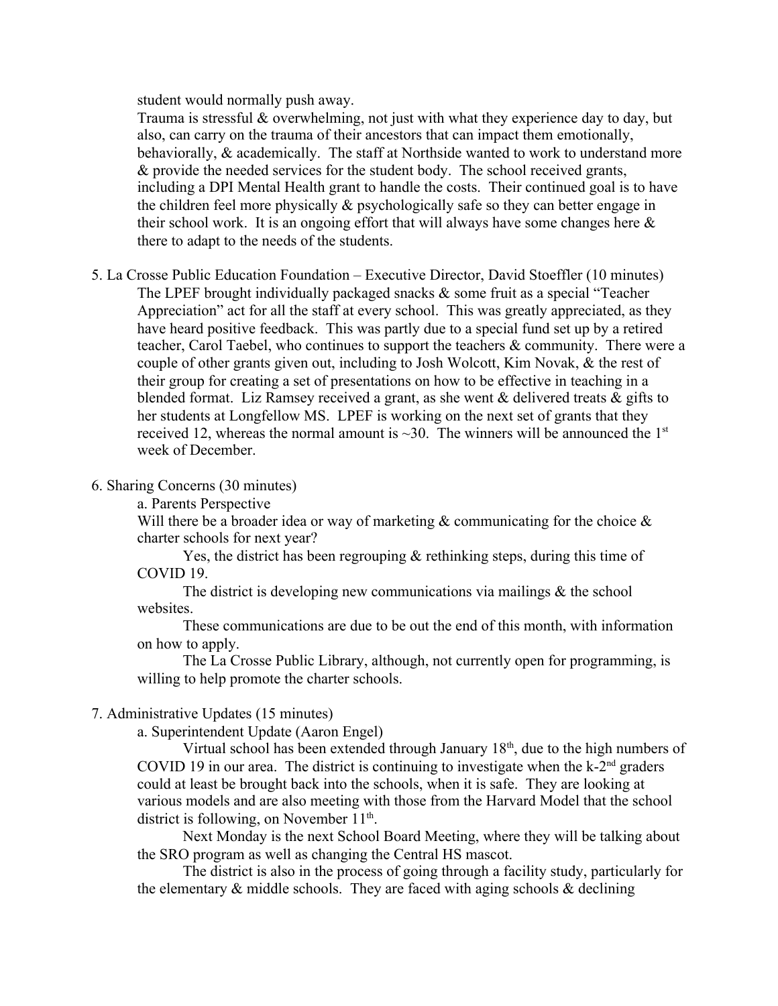student would normally push away.

Trauma is stressful & overwhelming, not just with what they experience day to day, but also, can carry on the trauma of their ancestors that can impact them emotionally, behaviorally, & academically. The staff at Northside wanted to work to understand more & provide the needed services for the student body. The school received grants, including a DPI Mental Health grant to handle the costs. Their continued goal is to have the children feel more physically & psychologically safe so they can better engage in their school work. It is an ongoing effort that will always have some changes here  $\&$ there to adapt to the needs of the students.

- 5. La Crosse Public Education Foundation Executive Director, David Stoeffler (10 minutes) The LPEF brought individually packaged snacks & some fruit as a special "Teacher" Appreciation" act for all the staff at every school. This was greatly appreciated, as they have heard positive feedback. This was partly due to a special fund set up by a retired teacher, Carol Taebel, who continues to support the teachers & community. There were a couple of other grants given out, including to Josh Wolcott, Kim Novak, & the rest of their group for creating a set of presentations on how to be effective in teaching in a blended format. Liz Ramsey received a grant, as she went  $\&$  delivered treats  $\&$  gifts to her students at Longfellow MS. LPEF is working on the next set of grants that they received 12, whereas the normal amount is  $\sim$ 30. The winners will be announced the 1<sup>st</sup> week of December.
- 6. Sharing Concerns (30 minutes)
	- a. Parents Perspective

Will there be a broader idea or way of marketing  $&$  communicating for the choice  $&$ charter schools for next year?

Yes, the district has been regrouping & rethinking steps, during this time of COVID 19.

The district is developing new communications via mailings  $\&$  the school websites.

These communications are due to be out the end of this month, with information on how to apply.

The La Crosse Public Library, although, not currently open for programming, is willing to help promote the charter schools.

## 7. Administrative Updates (15 minutes)

a. Superintendent Update (Aaron Engel)

Virtual school has been extended through January  $18<sup>th</sup>$ , due to the high numbers of COVID 19 in our area. The district is continuing to investigate when the  $k-2<sup>nd</sup>$  graders could at least be brought back into the schools, when it is safe. They are looking at various models and are also meeting with those from the Harvard Model that the school district is following, on November  $11<sup>th</sup>$ .

Next Monday is the next School Board Meeting, where they will be talking about the SRO program as well as changing the Central HS mascot.

The district is also in the process of going through a facility study, particularly for the elementary  $\&$  middle schools. They are faced with aging schools  $\&$  declining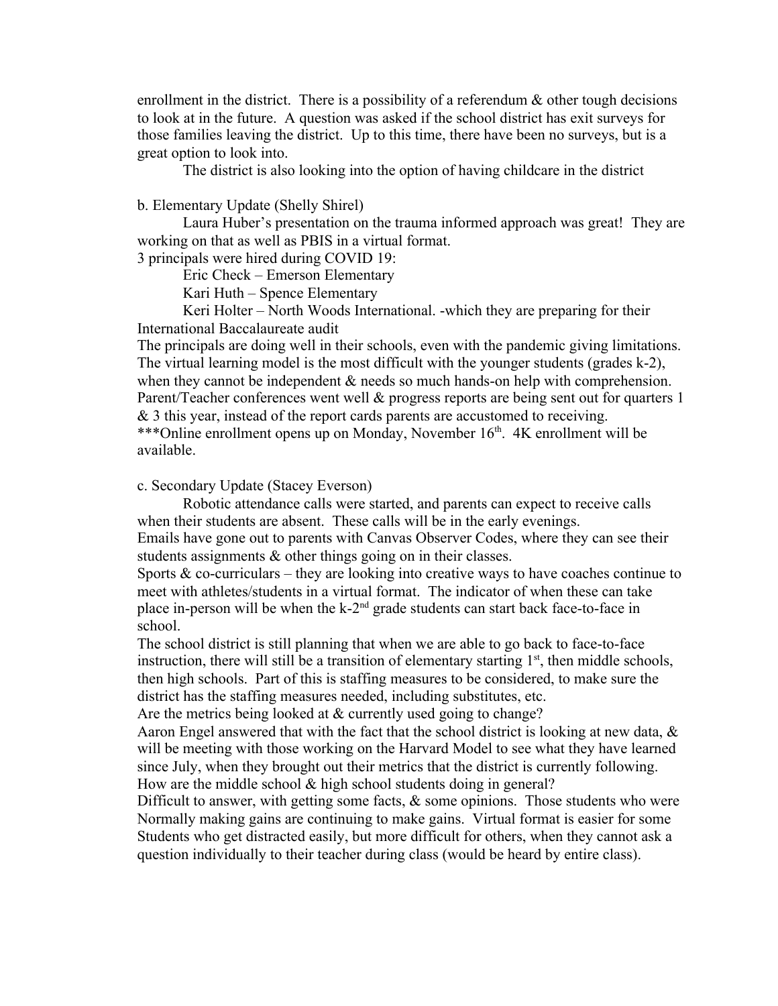enrollment in the district. There is a possibility of a referendum  $\&$  other tough decisions to look at in the future. A question was asked if the school district has exit surveys for those families leaving the district. Up to this time, there have been no surveys, but is a great option to look into.

The district is also looking into the option of having childcare in the district

b. Elementary Update (Shelly Shirel)

Laura Huber's presentation on the trauma informed approach was great! They are working on that as well as PBIS in a virtual format.

3 principals were hired during COVID 19:

Eric Check – Emerson Elementary

Kari Huth – Spence Elementary

Keri Holter – North Woods International. -which they are preparing for their International Baccalaureate audit

The principals are doing well in their schools, even with the pandemic giving limitations. The virtual learning model is the most difficult with the younger students (grades k-2), when they cannot be independent  $\&$  needs so much hands-on help with comprehension. Parent/Teacher conferences went well & progress reports are being sent out for quarters 1 & 3 this year, instead of the report cards parents are accustomed to receiving. \*\*\*Online enrollment opens up on Monday, November 16<sup>th</sup>. 4K enrollment will be available.

c. Secondary Update (Stacey Everson)

Robotic attendance calls were started, and parents can expect to receive calls when their students are absent. These calls will be in the early evenings. Emails have gone out to parents with Canvas Observer Codes, where they can see their students assignments & other things going on in their classes.

Sports  $\&$  co-curriculars – they are looking into creative ways to have coaches continue to meet with athletes/students in a virtual format. The indicator of when these can take place in-person will be when the  $k-2<sup>nd</sup>$  grade students can start back face-to-face in school.

The school district is still planning that when we are able to go back to face-to-face instruction, there will still be a transition of elementary starting  $1<sup>st</sup>$ , then middle schools, then high schools. Part of this is staffing measures to be considered, to make sure the district has the staffing measures needed, including substitutes, etc.

Are the metrics being looked at  $&$  currently used going to change?

Aaron Engel answered that with the fact that the school district is looking at new data, & will be meeting with those working on the Harvard Model to see what they have learned since July, when they brought out their metrics that the district is currently following. How are the middle school & high school students doing in general?

Difficult to answer, with getting some facts,  $\&$  some opinions. Those students who were Normally making gains are continuing to make gains. Virtual format is easier for some Students who get distracted easily, but more difficult for others, when they cannot ask a question individually to their teacher during class (would be heard by entire class).